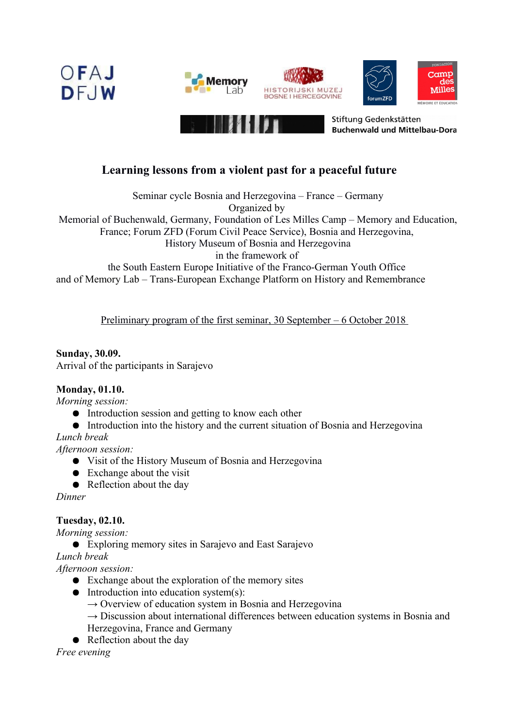







Stiftung Gedenkstätten **Buchenwald und Mittelbau-Dora** 

## **Learning lessons from a violent past for a peaceful future**

Seminar cycle Bosnia and Herzegovina – France – Germany Organized by

Memorial of Buchenwald, Germany, Foundation of Les Milles Camp – Memory and Education,

France; Forum ZFD (Forum Civil Peace Service), Bosnia and Herzegovina,

History Museum of Bosnia and Herzegovina

in the framework of

the South Eastern Europe Initiative of the Franco-German Youth Office and of Memory Lab – Trans-European Exchange Platform on History and Remembrance

Preliminary program of the first seminar, 30 September – 6 October 2018

#### **Sunday, 30.09.** Arrival of the participants in Sarajevo

### **Monday, 01.10.**

*Morning session:*

- Introduction session and getting to know each other
- Introduction into the history and the current situation of Bosnia and Herzegovina

*Lunch break*

*Afternoon session:* 

- Visit of the History Museum of Bosnia and Herzegovina
- Exchange about the visit
- Reflection about the day

*Dinner* 

### **Tuesday, 02.10.**

*Morning session:*

● Exploring memory sites in Sarajevo and East Sarajevo

*Lunch break* 

*Afternoon session:*

- Exchange about the exploration of the memory sites
- Introduction into education system(s):
	- $\rightarrow$  Overview of education system in Bosnia and Herzegovina
	- $\rightarrow$  Discussion about international differences between education systems in Bosnia and Herzegovina, France and Germany
- Reflection about the day

*Free evening*